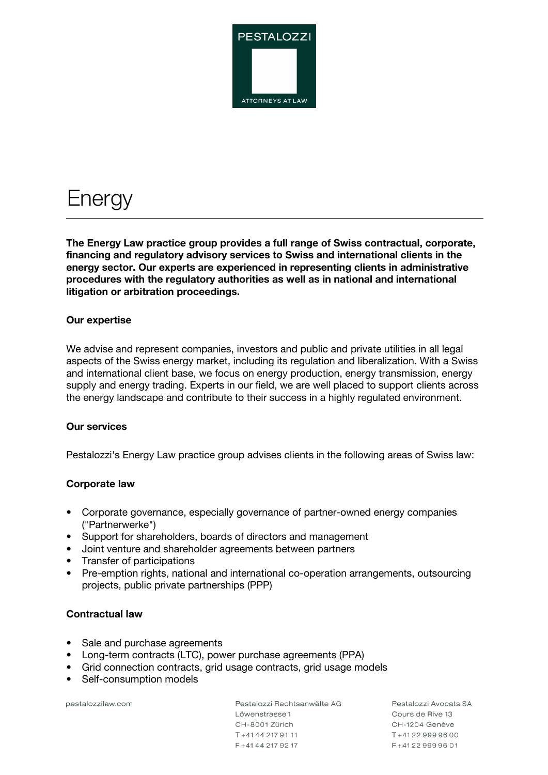

# **Energy**

**The Energy Law practice group provides a full range of Swiss contractual, corporate, financing and regulatory advisory services to Swiss and international clients in the energy sector. Our experts are experienced in representing clients in administrative procedures with the regulatory authorities as well as in national and international litigation or arbitration proceedings.**

## **Our expertise**

We advise and represent companies, investors and public and private utilities in all legal aspects of the Swiss energy market, including its regulation and liberalization. With a Swiss and international client base, we focus on energy production, energy transmission, energy supply and energy trading. Experts in our field, we are well placed to support clients across the energy landscape and contribute to their success in a highly regulated environment.

#### **Our services**

Pestalozzi's Energy Law practice group advises clients in the following areas of Swiss law:

## **Corporate law**

- Corporate governance, especially governance of partner-owned energy companies ("Partnerwerke")
- Support for shareholders, boards of directors and management
- Joint venture and shareholder agreements between partners
- Transfer of participations
- Pre-emption rights, national and international co-operation arrangements, outsourcing projects, public private partnerships (PPP)

## **Contractual law**

- Sale and purchase agreements
- Long-term contracts (LTC), power purchase agreements (PPA)
- Grid connection contracts, grid usage contracts, grid usage models
- Self-consumption models

pestalozzilaw.com

Pestalozzi Rechtsanwälte AG Löwenstrasse 1 CH-8001 Zürich T+4144 217 91 11 F + 41 44 217 92 17

Pestalozzi Avocats SA Cours de Bive 13 CH-1204 Genève  $T + 41229999600$ F+41229999601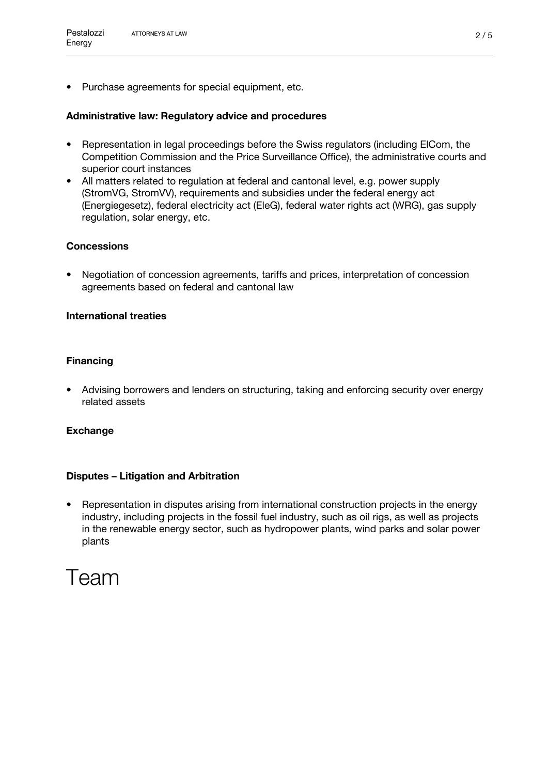• Purchase agreements for special equipment, etc.

## **Administrative law: Regulatory advice and procedures**

- Representation in legal proceedings before the Swiss regulators (including ElCom, the Competition Commission and the Price Surveillance Office), the administrative courts and superior court instances
- All matters related to regulation at federal and cantonal level, e.g. power supply (StromVG, StromVV), requirements and subsidies under the federal energy act (Energiegesetz), federal electricity act (EleG), federal water rights act (WRG), gas supply regulation, solar energy, etc.

## **Concessions**

• Negotiation of concession agreements, tariffs and prices, interpretation of concession agreements based on federal and cantonal law

## **International treaties**

## **Financing**

• Advising borrowers and lenders on structuring, taking and enforcing security over energy related assets

## **Exchange**

## **Disputes – Litigation and Arbitration**

• Representation in disputes arising from international construction projects in the energy industry, including projects in the fossil fuel industry, such as oil rigs, as well as projects in the renewable energy sector, such as hydropower plants, wind parks and solar power plants

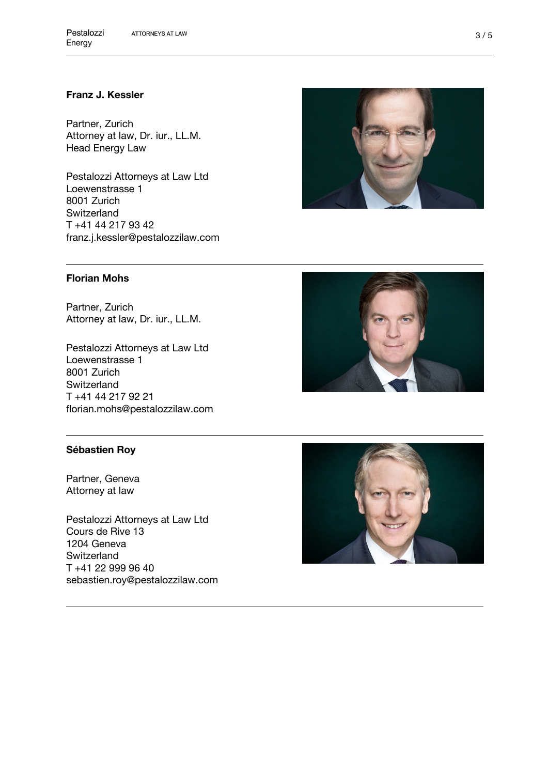## **[Franz J. Kessler](https://pestalozzilaw.com/en/lawyers/franz-j-kessler/)**

Partner, Zurich Attorney at law, Dr. iur., LL.M. Head Energy Law

Pestalozzi Attorneys at Law Ltd Loewenstrasse 1 8001 Zurich **Switzerland** T +41 44 217 93 42 franz.j.kessler@pestalozzilaw.com



## **[Florian Mohs](https://pestalozzilaw.com/en/lawyers/florian-mohs/)**

Partner, Zurich Attorney at law, Dr. iur., LL.M.

Pestalozzi Attorneys at Law Ltd Loewenstrasse 1 8001 Zurich **Switzerland** T +41 44 217 92 21 florian.mohs@pestalozzilaw.com



## **[Sébastien Roy](https://pestalozzilaw.com/en/lawyers/sebastien-roy/)**

Partner, Geneva Attorney at law

Pestalozzi Attorneys at Law Ltd Cours de Rive 13 1204 Geneva **Switzerland** T +41 22 999 96 40 sebastien.roy@pestalozzilaw.com

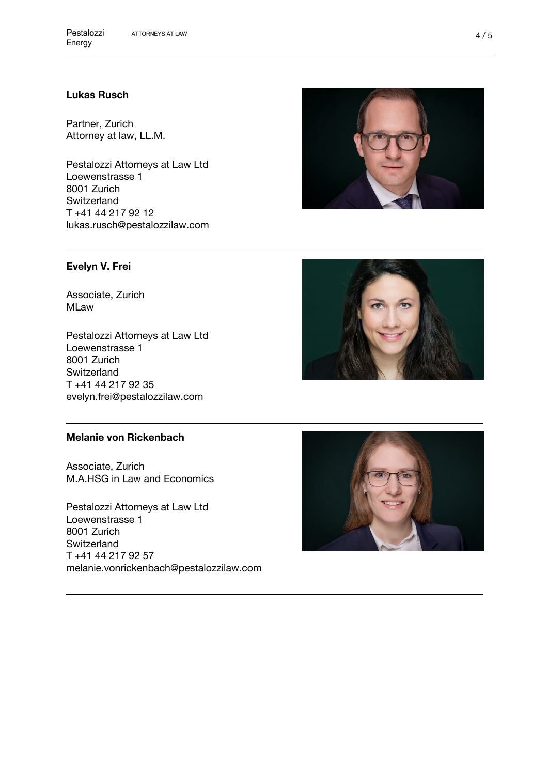## **[Lukas Rusch](https://pestalozzilaw.com/en/lawyers/lukas-rusch/)**

Partner, Zurich Attorney at law, LL.M.

Pestalozzi Attorneys at Law Ltd Loewenstrasse 1 8001 Zurich Switzerland T +41 44 217 92 12 lukas.rusch@pestalozzilaw.com

#### **[Evelyn V. Frei](https://pestalozzilaw.com/en/lawyers/evelyn-v-frei/)**

Associate, Zurich MLaw

Pestalozzi Attorneys at Law Ltd Loewenstrasse 1 8001 Zurich **Switzerland** T +41 44 217 92 35 evelyn.frei@pestalozzilaw.com

#### **[Melanie von Rickenbach](https://pestalozzilaw.com/en/lawyers/melanie-von-rickenbach/)**

Associate, Zurich M.A.HSG in Law and Economics

Pestalozzi Attorneys at Law Ltd Loewenstrasse 1 8001 Zurich **Switzerland** T +41 44 217 92 57 melanie.vonrickenbach@pestalozzilaw.com